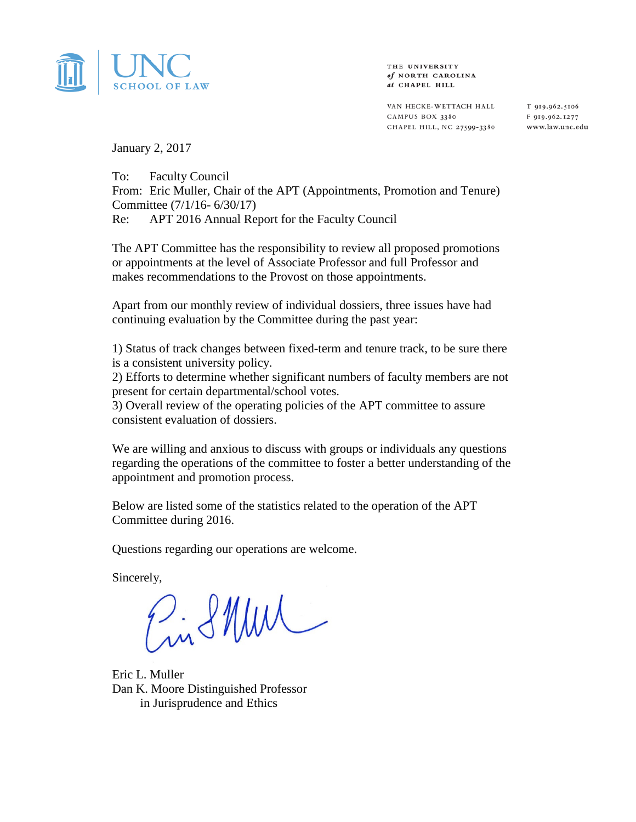

THE UNIVERSITY of NORTH CAROLINA at CHAPEL HILL

VAN HECKE-WETTACH HALL CAMPUS BOX 3380 CHAPEL HILL, NC 27599-3380

T 919.962.5106 F 919.962.1277 www.law.unc.edu

January 2, 2017

To: Faculty Council From: Eric Muller, Chair of the APT (Appointments, Promotion and Tenure) Committee (7/1/16- 6/30/17) Re: APT 2016 Annual Report for the Faculty Council

The APT Committee has the responsibility to review all proposed promotions or appointments at the level of Associate Professor and full Professor and makes recommendations to the Provost on those appointments.

Apart from our monthly review of individual dossiers, three issues have had continuing evaluation by the Committee during the past year:

1) Status of track changes between fixed-term and tenure track, to be sure there is a consistent university policy.

2) Efforts to determine whether significant numbers of faculty members are not present for certain departmental/school votes.

3) Overall review of the operating policies of the APT committee to assure consistent evaluation of dossiers.

We are willing and anxious to discuss with groups or individuals any questions regarding the operations of the committee to foster a better understanding of the appointment and promotion process.

Below are listed some of the statistics related to the operation of the APT Committee during 2016.

Questions regarding our operations are welcome.

Sincerely,

 $2.81$  MW

Eric L. Muller Dan K. Moore Distinguished Professor in Jurisprudence and Ethics